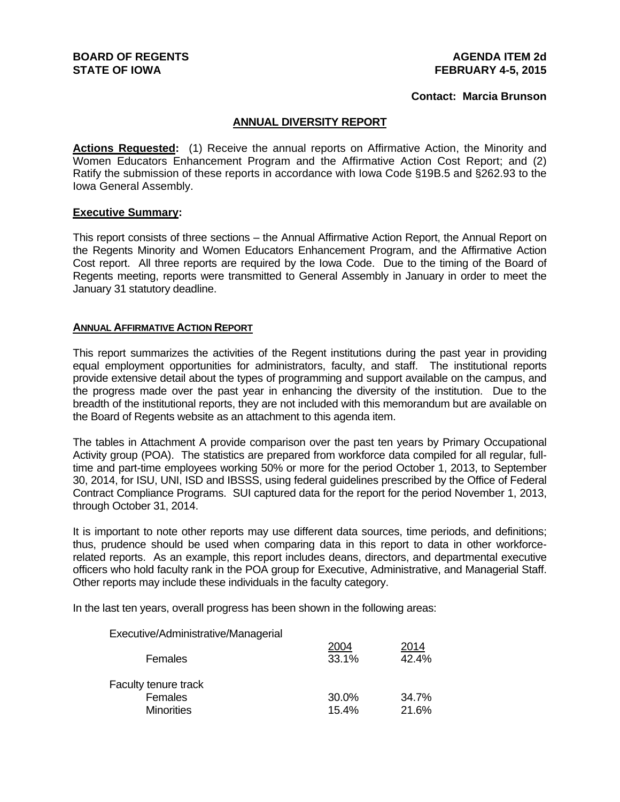#### **AGENDA ITEM 2d FEBRUARY 4-5, 2015**

#### **Contact: Marcia Brunson**

#### **ANNUAL DIVERSITY REPORT**

**Actions Requested:** (1) Receive the annual reports on Affirmative Action, the Minority and Women Educators Enhancement Program and the Affirmative Action Cost Report; and (2) Ratify the submission of these reports in accordance with Iowa Code §19B.5 and §262.93 to the Iowa General Assembly.

#### **Executive Summary:**

This report consists of three sections – the Annual Affirmative Action Report, the Annual Report on the Regents Minority and Women Educators Enhancement Program, and the Affirmative Action Cost report. All three reports are required by the Iowa Code. Due to the timing of the Board of Regents meeting, reports were transmitted to General Assembly in January in order to meet the January 31 statutory deadline.

#### **ANNUAL AFFIRMATIVE ACTION REPORT**

This report summarizes the activities of the Regent institutions during the past year in providing equal employment opportunities for administrators, faculty, and staff. The institutional reports provide extensive detail about the types of programming and support available on the campus, and the progress made over the past year in enhancing the diversity of the institution. Due to the breadth of the institutional reports, they are not included with this memorandum but are available on the Board of Regents website as an attachment to this agenda item.

The tables in Attachment A provide comparison over the past ten years by Primary Occupational Activity group (POA). The statistics are prepared from workforce data compiled for all regular, fulltime and part-time employees working 50% or more for the period October 1, 2013, to September 30, 2014, for ISU, UNI, ISD and IBSSS, using federal guidelines prescribed by the Office of Federal Contract Compliance Programs. SUI captured data for the report for the period November 1, 2013, through October 31, 2014.

It is important to note other reports may use different data sources, time periods, and definitions; thus, prudence should be used when comparing data in this report to data in other workforcerelated reports. As an example, this report includes deans, directors, and departmental executive officers who hold faculty rank in the POA group for Executive, Administrative, and Managerial Staff. Other reports may include these individuals in the faculty category.

In the last ten years, overall progress has been shown in the following areas:

Executive/Administrative/Managerial

| Females                     | 2004<br>33.1% | 2014<br>42.4% |
|-----------------------------|---------------|---------------|
| <b>Faculty tenure track</b> |               |               |
| Females                     | 30.0%         | 34.7%         |
| <b>Minorities</b>           | 15.4%         | 21.6%         |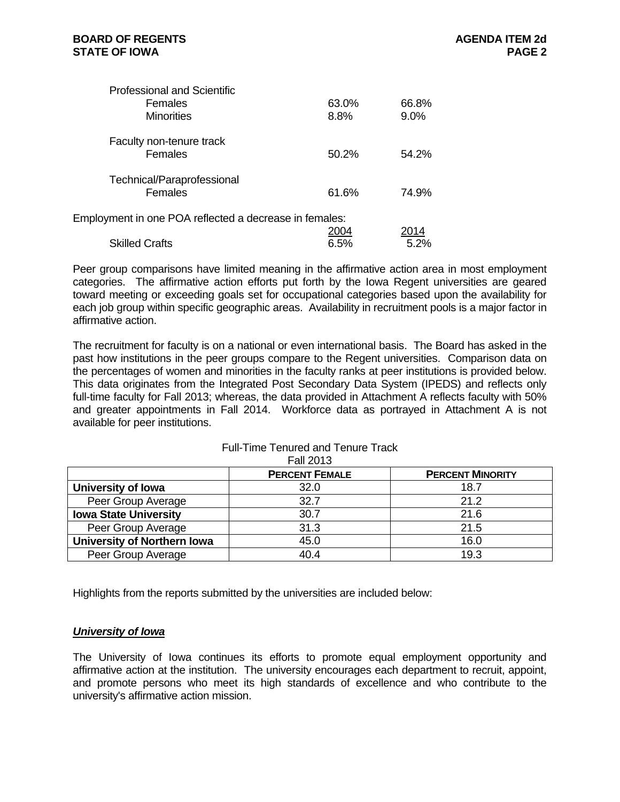| <b>Professional and Scientific</b><br>Females<br><b>Minorities</b> | 63.0%<br>8.8% | 66.8%<br>$9.0\%$ |
|--------------------------------------------------------------------|---------------|------------------|
| Faculty non-tenure track<br>Females                                | 50.2%         | 54.2%            |
| Technical/Paraprofessional<br><b>Females</b>                       | 61.6%         | 74.9%            |
| Employment in one POA reflected a decrease in females:             |               |                  |
| <b>Skilled Crafts</b>                                              | 6.5%          | 5.2%             |

Peer group comparisons have limited meaning in the affirmative action area in most employment categories. The affirmative action efforts put forth by the Iowa Regent universities are geared toward meeting or exceeding goals set for occupational categories based upon the availability for each job group within specific geographic areas. Availability in recruitment pools is a major factor in affirmative action.

The recruitment for faculty is on a national or even international basis. The Board has asked in the past how institutions in the peer groups compare to the Regent universities. Comparison data on the percentages of women and minorities in the faculty ranks at peer institutions is provided below. This data originates from the Integrated Post Secondary Data System (IPEDS) and reflects only full-time faculty for Fall 2013; whereas, the data provided in Attachment A reflects faculty with 50% and greater appointments in Fall 2014. Workforce data as portrayed in Attachment A is not available for peer institutions.

|                                    | <b>PERCENT FEMALE</b> | <b>PERCENT MINORITY</b> |
|------------------------------------|-----------------------|-------------------------|
| <b>University of lowa</b>          | 32.0                  | 18.7                    |
| Peer Group Average                 | 32.7                  | 21.2                    |
| <b>Iowa State University</b>       | 30.7                  | 21.6                    |
| Peer Group Average                 | 31.3                  | 21.5                    |
| <b>University of Northern Iowa</b> | 45.0                  | 16.0                    |
| Peer Group Average                 | 40.4                  | 19.3                    |

#### Full-Time Tenured and Tenure Track Fall 2013

Highlights from the reports submitted by the universities are included below:

#### *University of Iowa*

The University of Iowa continues its efforts to promote equal employment opportunity and affirmative action at the institution. The university encourages each department to recruit, appoint, and promote persons who meet its high standards of excellence and who contribute to the university's affirmative action mission.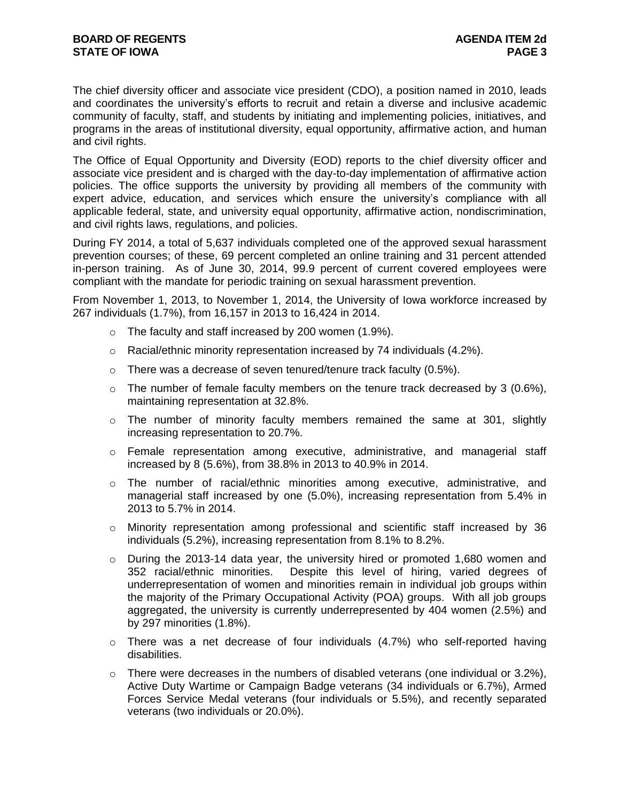The chief diversity officer and associate vice president (CDO), a position named in 2010, leads and coordinates the university's efforts to recruit and retain a diverse and inclusive academic community of faculty, staff, and students by initiating and implementing policies, initiatives, and programs in the areas of institutional diversity, equal opportunity, affirmative action, and human and civil rights.

The Office of Equal Opportunity and Diversity (EOD) reports to the chief diversity officer and associate vice president and is charged with the day-to-day implementation of affirmative action policies. The office supports the university by providing all members of the community with expert advice, education, and services which ensure the university's compliance with all applicable federal, state, and university equal opportunity, affirmative action, nondiscrimination, and civil rights laws, regulations, and policies.

During FY 2014, a total of 5,637 individuals completed one of the approved sexual harassment prevention courses; of these, 69 percent completed an online training and 31 percent attended in-person training. As of June 30, 2014, 99.9 percent of current covered employees were compliant with the mandate for periodic training on sexual harassment prevention.

From November 1, 2013, to November 1, 2014, the University of Iowa workforce increased by 267 individuals (1.7%), from 16,157 in 2013 to 16,424 in 2014.

- o The faculty and staff increased by 200 women (1.9%).
- o Racial/ethnic minority representation increased by 74 individuals (4.2%).
- $\circ$  There was a decrease of seven tenured/tenure track faculty (0.5%).
- $\circ$  The number of female faculty members on the tenure track decreased by 3 (0.6%), maintaining representation at 32.8%.
- $\circ$  The number of minority faculty members remained the same at 301, slightly increasing representation to 20.7%.
- o Female representation among executive, administrative, and managerial staff increased by 8 (5.6%), from 38.8% in 2013 to 40.9% in 2014.
- $\circ$  The number of racial/ethnic minorities among executive, administrative, and managerial staff increased by one (5.0%), increasing representation from 5.4% in 2013 to 5.7% in 2014.
- $\circ$  Minority representation among professional and scientific staff increased by 36 individuals (5.2%), increasing representation from 8.1% to 8.2%.
- o During the 2013-14 data year, the university hired or promoted 1,680 women and 352 racial/ethnic minorities. Despite this level of hiring, varied degrees of underrepresentation of women and minorities remain in individual job groups within the majority of the Primary Occupational Activity (POA) groups. With all job groups aggregated, the university is currently underrepresented by 404 women (2.5%) and by 297 minorities (1.8%).
- o There was a net decrease of four individuals (4.7%) who self-reported having disabilities.
- $\circ$  There were decreases in the numbers of disabled veterans (one individual or 3.2%), Active Duty Wartime or Campaign Badge veterans (34 individuals or 6.7%), Armed Forces Service Medal veterans (four individuals or 5.5%), and recently separated veterans (two individuals or 20.0%).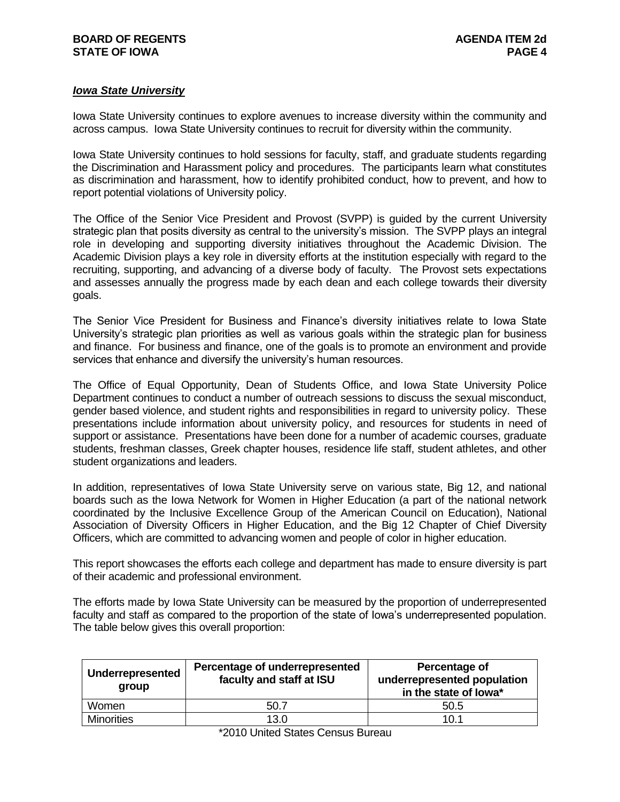### *Iowa State University*

Iowa State University continues to explore avenues to increase diversity within the community and across campus. Iowa State University continues to recruit for diversity within the community.

Iowa State University continues to hold sessions for faculty, staff, and graduate students regarding the Discrimination and Harassment policy and procedures. The participants learn what constitutes as discrimination and harassment, how to identify prohibited conduct, how to prevent, and how to report potential violations of University policy.

The Office of the Senior Vice President and Provost (SVPP) is guided by the current University strategic plan that posits diversity as central to the university's mission. The SVPP plays an integral role in developing and supporting diversity initiatives throughout the Academic Division. The Academic Division plays a key role in diversity efforts at the institution especially with regard to the recruiting, supporting, and advancing of a diverse body of faculty. The Provost sets expectations and assesses annually the progress made by each dean and each college towards their diversity goals.

The Senior Vice President for Business and Finance's diversity initiatives relate to Iowa State University's strategic plan priorities as well as various goals within the strategic plan for business and finance. For business and finance, one of the goals is to promote an environment and provide services that enhance and diversify the university's human resources.

The Office of Equal Opportunity, Dean of Students Office, and Iowa State University Police Department continues to conduct a number of outreach sessions to discuss the sexual misconduct, gender based violence, and student rights and responsibilities in regard to university policy. These presentations include information about university policy, and resources for students in need of support or assistance. Presentations have been done for a number of academic courses, graduate students, freshman classes, Greek chapter houses, residence life staff, student athletes, and other student organizations and leaders.

In addition, representatives of Iowa State University serve on various state, Big 12, and national boards such as the Iowa Network for Women in Higher Education (a part of the national network coordinated by the Inclusive Excellence Group of the American Council on Education), National Association of Diversity Officers in Higher Education, and the Big 12 Chapter of Chief Diversity Officers, which are committed to advancing women and people of color in higher education.

This report showcases the efforts each college and department has made to ensure diversity is part of their academic and professional environment.

The efforts made by Iowa State University can be measured by the proportion of underrepresented faculty and staff as compared to the proportion of the state of Iowa's underrepresented population. The table below gives this overall proportion:

| <b>Underrepresented</b><br>group | Percentage of underrepresented<br>faculty and staff at ISU | Percentage of<br>underrepresented population<br>in the state of lowa* |
|----------------------------------|------------------------------------------------------------|-----------------------------------------------------------------------|
| Women                            | 50.7                                                       | 50.5                                                                  |
| Minorities                       | 13.0                                                       | 10.1                                                                  |

\*2010 United States Census Bureau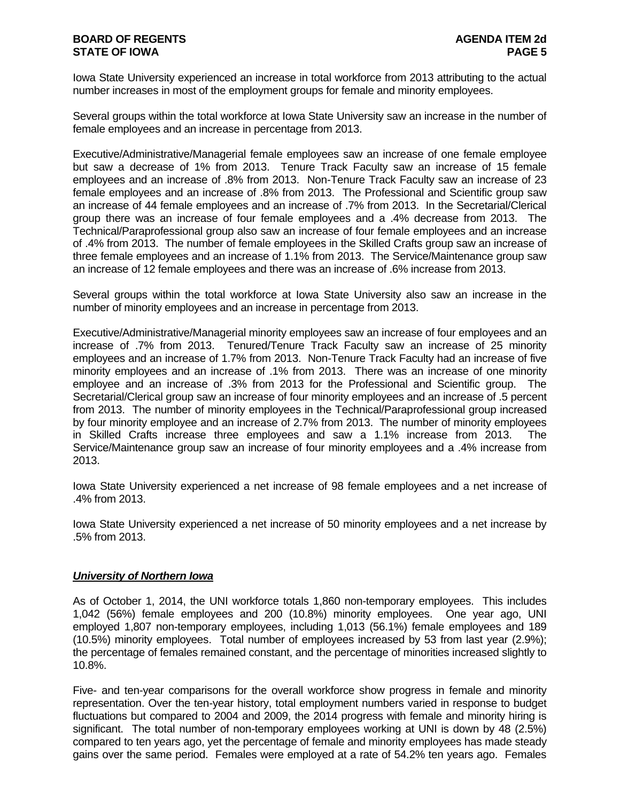Iowa State University experienced an increase in total workforce from 2013 attributing to the actual number increases in most of the employment groups for female and minority employees.

Several groups within the total workforce at Iowa State University saw an increase in the number of female employees and an increase in percentage from 2013.

Executive/Administrative/Managerial female employees saw an increase of one female employee but saw a decrease of 1% from 2013. Tenure Track Faculty saw an increase of 15 female employees and an increase of .8% from 2013. Non-Tenure Track Faculty saw an increase of 23 female employees and an increase of .8% from 2013. The Professional and Scientific group saw an increase of 44 female employees and an increase of .7% from 2013. In the Secretarial/Clerical group there was an increase of four female employees and a .4% decrease from 2013. The Technical/Paraprofessional group also saw an increase of four female employees and an increase of .4% from 2013. The number of female employees in the Skilled Crafts group saw an increase of three female employees and an increase of 1.1% from 2013. The Service/Maintenance group saw an increase of 12 female employees and there was an increase of .6% increase from 2013.

Several groups within the total workforce at Iowa State University also saw an increase in the number of minority employees and an increase in percentage from 2013.

Executive/Administrative/Managerial minority employees saw an increase of four employees and an increase of .7% from 2013. Tenured/Tenure Track Faculty saw an increase of 25 minority employees and an increase of 1.7% from 2013. Non-Tenure Track Faculty had an increase of five minority employees and an increase of .1% from 2013. There was an increase of one minority employee and an increase of .3% from 2013 for the Professional and Scientific group. The Secretarial/Clerical group saw an increase of four minority employees and an increase of .5 percent from 2013. The number of minority employees in the Technical/Paraprofessional group increased by four minority employee and an increase of 2.7% from 2013. The number of minority employees in Skilled Crafts increase three employees and saw a 1.1% increase from 2013. The Service/Maintenance group saw an increase of four minority employees and a .4% increase from 2013.

Iowa State University experienced a net increase of 98 female employees and a net increase of .4% from 2013.

Iowa State University experienced a net increase of 50 minority employees and a net increase by .5% from 2013.

#### *University of Northern Iowa*

As of October 1, 2014, the UNI workforce totals 1,860 non-temporary employees. This includes 1,042 (56%) female employees and 200 (10.8%) minority employees. One year ago, UNI employed 1,807 non-temporary employees, including 1,013 (56.1%) female employees and 189 (10.5%) minority employees. Total number of employees increased by 53 from last year (2.9%); the percentage of females remained constant, and the percentage of minorities increased slightly to 10.8%.

Five- and ten-year comparisons for the overall workforce show progress in female and minority representation. Over the ten-year history, total employment numbers varied in response to budget fluctuations but compared to 2004 and 2009, the 2014 progress with female and minority hiring is significant. The total number of non-temporary employees working at UNI is down by 48 (2.5%) compared to ten years ago, yet the percentage of female and minority employees has made steady gains over the same period. Females were employed at a rate of 54.2% ten years ago. Females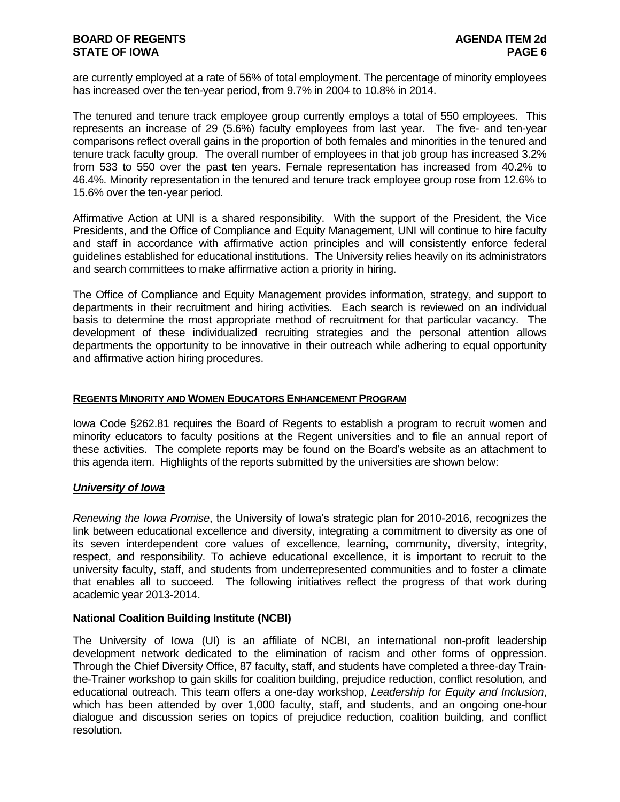are currently employed at a rate of 56% of total employment. The percentage of minority employees has increased over the ten-year period, from 9.7% in 2004 to 10.8% in 2014.

The tenured and tenure track employee group currently employs a total of 550 employees. This represents an increase of 29 (5.6%) faculty employees from last year. The five- and ten-year comparisons reflect overall gains in the proportion of both females and minorities in the tenured and tenure track faculty group. The overall number of employees in that job group has increased 3.2% from 533 to 550 over the past ten years. Female representation has increased from 40.2% to 46.4%. Minority representation in the tenured and tenure track employee group rose from 12.6% to 15.6% over the ten-year period.

Affirmative Action at UNI is a shared responsibility. With the support of the President, the Vice Presidents, and the Office of Compliance and Equity Management, UNI will continue to hire faculty and staff in accordance with affirmative action principles and will consistently enforce federal guidelines established for educational institutions. The University relies heavily on its administrators and search committees to make affirmative action a priority in hiring.

The Office of Compliance and Equity Management provides information, strategy, and support to departments in their recruitment and hiring activities. Each search is reviewed on an individual basis to determine the most appropriate method of recruitment for that particular vacancy. The development of these individualized recruiting strategies and the personal attention allows departments the opportunity to be innovative in their outreach while adhering to equal opportunity and affirmative action hiring procedures.

### **REGENTS MINORITY AND WOMEN EDUCATORS ENHANCEMENT PROGRAM**

Iowa Code §262.81 requires the Board of Regents to establish a program to recruit women and minority educators to faculty positions at the Regent universities and to file an annual report of these activities. The complete reports may be found on the Board's website as an attachment to this agenda item. Highlights of the reports submitted by the universities are shown below:

## *University of Iowa*

*Renewing the Iowa Promise*, the University of Iowa's strategic plan for 2010-2016, recognizes the link between educational excellence and diversity, integrating a commitment to diversity as one of its seven interdependent core values of excellence, learning, community, diversity, integrity, respect, and responsibility. To achieve educational excellence, it is important to recruit to the university faculty, staff, and students from underrepresented communities and to foster a climate that enables all to succeed. The following initiatives reflect the progress of that work during academic year 2013-2014.

## **National Coalition Building Institute (NCBI)**

The University of Iowa (UI) is an affiliate of NCBI, an international non-profit leadership development network dedicated to the elimination of racism and other forms of oppression. Through the Chief Diversity Office, 87 faculty, staff, and students have completed a three-day Trainthe-Trainer workshop to gain skills for coalition building, prejudice reduction, conflict resolution, and educational outreach. This team offers a one-day workshop, *Leadership for Equity and Inclusion*, which has been attended by over 1,000 faculty, staff, and students, and an ongoing one-hour dialogue and discussion series on topics of prejudice reduction, coalition building, and conflict resolution.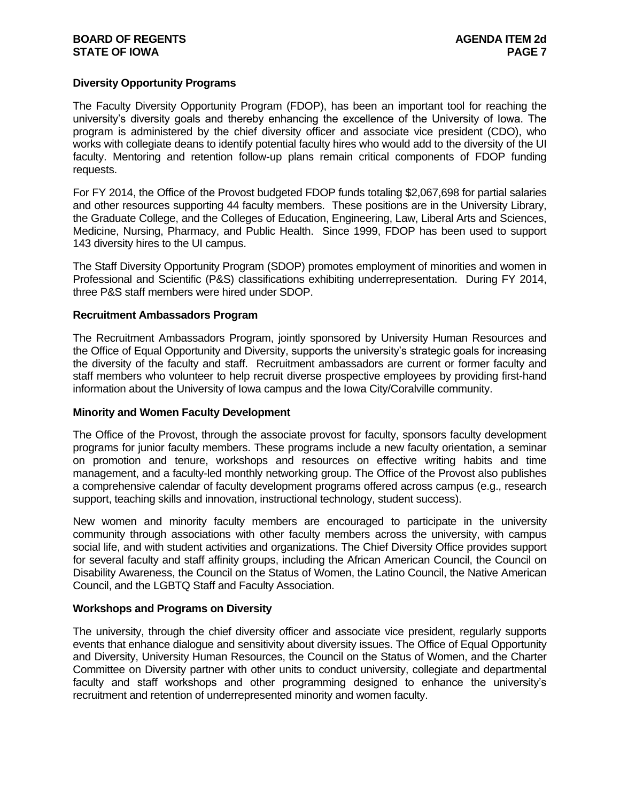### **Diversity Opportunity Programs**

The Faculty Diversity Opportunity Program (FDOP), has been an important tool for reaching the university's diversity goals and thereby enhancing the excellence of the University of Iowa. The program is administered by the chief diversity officer and associate vice president (CDO), who works with collegiate deans to identify potential faculty hires who would add to the diversity of the UI faculty. Mentoring and retention follow-up plans remain critical components of FDOP funding requests.

For FY 2014, the Office of the Provost budgeted FDOP funds totaling \$2,067,698 for partial salaries and other resources supporting 44 faculty members. These positions are in the University Library, the Graduate College, and the Colleges of Education, Engineering, Law, Liberal Arts and Sciences, Medicine, Nursing, Pharmacy, and Public Health. Since 1999, FDOP has been used to support 143 diversity hires to the UI campus.

The Staff Diversity Opportunity Program (SDOP) promotes employment of minorities and women in Professional and Scientific (P&S) classifications exhibiting underrepresentation. During FY 2014, three P&S staff members were hired under SDOP.

#### **Recruitment Ambassadors Program**

The Recruitment Ambassadors Program, jointly sponsored by University Human Resources and the Office of Equal Opportunity and Diversity, supports the university's strategic goals for increasing the diversity of the faculty and staff. Recruitment ambassadors are current or former faculty and staff members who volunteer to help recruit diverse prospective employees by providing first-hand information about the University of Iowa campus and the Iowa City/Coralville community.

#### **Minority and Women Faculty Development**

The Office of the Provost, through the associate provost for faculty, sponsors faculty development programs for junior faculty members. These programs include a new faculty orientation, a seminar on promotion and tenure, workshops and resources on effective writing habits and time management, and a faculty-led monthly networking group. The Office of the Provost also publishes a comprehensive calendar of faculty development programs offered across campus (e.g., research support, teaching skills and innovation, instructional technology, student success).

New women and minority faculty members are encouraged to participate in the university community through associations with other faculty members across the university, with campus social life, and with student activities and organizations. The Chief Diversity Office provides support for several faculty and staff affinity groups, including the African American Council, the Council on Disability Awareness, the Council on the Status of Women, the Latino Council, the Native American Council, and the LGBTQ Staff and Faculty Association.

#### **Workshops and Programs on Diversity**

The university, through the chief diversity officer and associate vice president, regularly supports events that enhance dialogue and sensitivity about diversity issues. The Office of Equal Opportunity and Diversity, University Human Resources, the Council on the Status of Women, and the Charter Committee on Diversity partner with other units to conduct university, collegiate and departmental faculty and staff workshops and other programming designed to enhance the university's recruitment and retention of underrepresented minority and women faculty.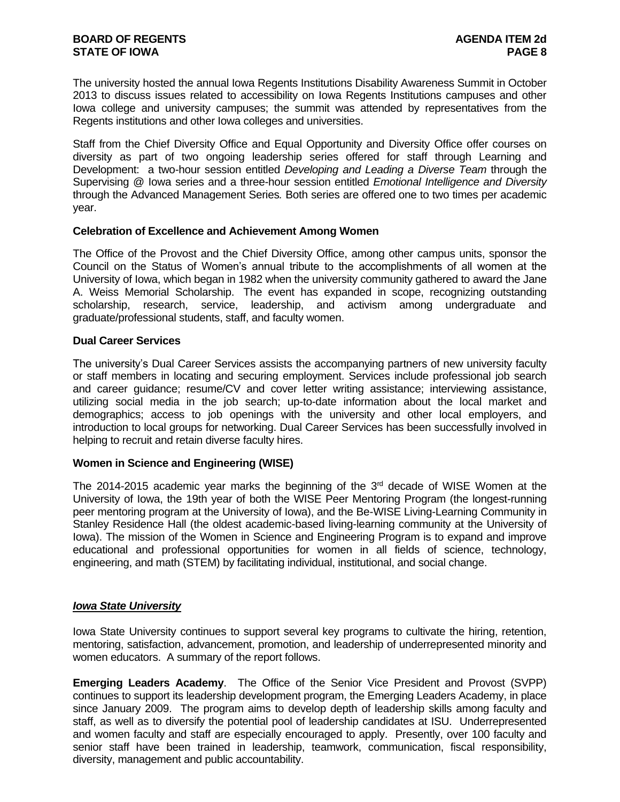The university hosted the annual Iowa Regents Institutions Disability Awareness Summit in October 2013 to discuss issues related to accessibility on Iowa Regents Institutions campuses and other Iowa college and university campuses; the summit was attended by representatives from the Regents institutions and other Iowa colleges and universities.

Staff from the Chief Diversity Office and Equal Opportunity and Diversity Office offer courses on diversity as part of two ongoing leadership series offered for staff through Learning and Development: a two-hour session entitled *Developing and Leading a Diverse Team* through the Supervising @ Iowa series and a three-hour session entitled *Emotional Intelligence and Diversity* through the Advanced Management Series*.* Both series are offered one to two times per academic year.

#### **Celebration of Excellence and Achievement Among Women**

The Office of the Provost and the Chief Diversity Office, among other campus units, sponsor the Council on the Status of Women's annual tribute to the accomplishments of all women at the University of Iowa, which began in 1982 when the university community gathered to award the [Jane](http://www.uiowa.edu/~wrac/jane-a-weiss-scholarship.shtml)  [A. Weiss Memorial Scholarship.](http://www.uiowa.edu/~wrac/jane-a-weiss-scholarship.shtml) The event has expanded in scope, recognizing outstanding scholarship, research, service, leadership, and activism among undergraduate and graduate/professional students, staff, and faculty women.

#### **Dual Career Services**

The university's Dual Career Services assists the accompanying partners of new university faculty or staff members in locating and securing employment. Services include professional job search and career guidance; resume/CV and cover letter writing assistance; interviewing assistance, utilizing social media in the job search; up-to-date information about the local market and demographics; access to job openings with the university and other local employers, and introduction to local groups for networking. Dual Career Services has been successfully involved in helping to recruit and retain diverse faculty hires.

#### **Women in Science and Engineering (WISE)**

The 2014-2015 academic year marks the beginning of the 3rd decade of WISE Women at the University of Iowa, the 19th year of both the WISE Peer Mentoring Program (the longest-running peer mentoring program at the University of Iowa), and the Be-WISE Living-Learning Community in Stanley Residence Hall (the oldest academic-based living-learning community at the University of Iowa). The mission of the Women in Science and Engineering Program is to expand and improve educational and professional opportunities for women in all fields of science, technology, engineering, and math (STEM) by facilitating individual, institutional, and social change.

#### *Iowa State University*

Iowa State University continues to support several key programs to cultivate the hiring, retention, mentoring, satisfaction, advancement, promotion, and leadership of underrepresented minority and women educators. A summary of the report follows.

**Emerging Leaders Academy**. The Office of the Senior Vice President and Provost (SVPP) continues to support its leadership development program, the Emerging Leaders Academy, in place since January 2009. The program aims to develop depth of leadership skills among faculty and staff, as well as to diversify the potential pool of leadership candidates at ISU. Underrepresented and women faculty and staff are especially encouraged to apply. Presently, over 100 faculty and senior staff have been trained in leadership, teamwork, communication, fiscal responsibility, diversity, management and public accountability.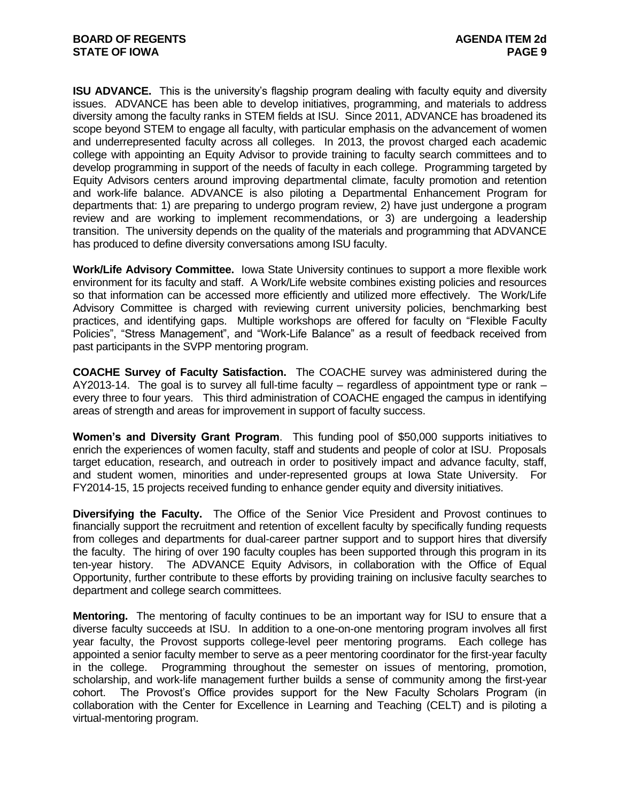**ISU ADVANCE.**This is the university's flagship program dealing with faculty equity and diversity issues. ADVANCE has been able to develop initiatives, programming, and materials to address diversity among the faculty ranks in STEM fields at ISU. Since 2011, ADVANCE has broadened its scope beyond STEM to engage all faculty, with particular emphasis on the advancement of women and underrepresented faculty across all colleges. In 2013, the provost charged each academic college with appointing an Equity Advisor to provide training to faculty search committees and to develop programming in support of the needs of faculty in each college. Programming targeted by Equity Advisors centers around improving departmental climate, faculty promotion and retention and work-life balance. ADVANCE is also piloting a Departmental Enhancement Program for departments that: 1) are preparing to undergo program review, 2) have just undergone a program review and are working to implement recommendations, or 3) are undergoing a leadership transition. The university depends on the quality of the materials and programming that ADVANCE has produced to define diversity conversations among ISU faculty.

**Work/Life Advisory Committee.** Iowa State University continues to support a more flexible work environment for its faculty and staff. A Work/Life website combines existing policies and resources so that information can be accessed more efficiently and utilized more effectively. The Work/Life Advisory Committee is charged with reviewing current university policies, benchmarking best practices, and identifying gaps. Multiple workshops are offered for faculty on "Flexible Faculty Policies", "Stress Management", and "Work-Life Balance" as a result of feedback received from past participants in the SVPP mentoring program.

**COACHE Survey of Faculty Satisfaction.** The COACHE survey was administered during the AY2013-14. The goal is to survey all full-time faculty – regardless of appointment type or rank – every three to four years. This third administration of COACHE engaged the campus in identifying areas of strength and areas for improvement in support of faculty success.

**Women's and Diversity Grant Program**. This funding pool of \$50,000 supports initiatives to enrich the experiences of women faculty, staff and students and people of color at ISU. Proposals target education, research, and outreach in order to positively impact and advance faculty, staff, and student women, minorities and under-represented groups at Iowa State University. For FY2014-15, 15 projects received funding to enhance gender equity and diversity initiatives.

**Diversifying the Faculty.** The Office of the Senior Vice President and Provost continues to financially support the recruitment and retention of excellent faculty by specifically funding requests from colleges and departments for dual-career partner support and to support hires that diversify the faculty. The hiring of over 190 faculty couples has been supported through this program in its ten-year history. The ADVANCE Equity Advisors, in collaboration with the Office of Equal Opportunity, further contribute to these efforts by providing training on inclusive faculty searches to department and college search committees.

**Mentoring.** The mentoring of faculty continues to be an important way for ISU to ensure that a diverse faculty succeeds at ISU. In addition to a one-on-one mentoring program involves all first year faculty, the Provost supports college-level peer mentoring programs. Each college has appointed a senior faculty member to serve as a peer mentoring coordinator for the first-year faculty in the college. Programming throughout the semester on issues of mentoring, promotion, scholarship, and work-life management further builds a sense of community among the first-year cohort. The Provost's Office provides support for the New Faculty Scholars Program (in collaboration with the Center for Excellence in Learning and Teaching (CELT) and is piloting a virtual-mentoring program.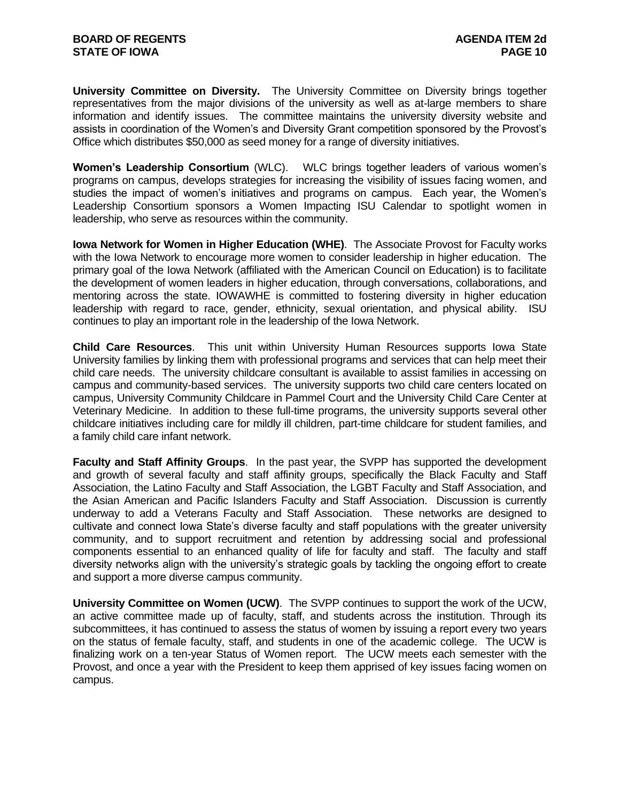**University Committee on Diversity.**The University Committee on Diversity brings together representatives from the major divisions of the university as well as at-large members to share information and identify issues. The committee maintains the university diversity website and assists in coordination of the Women's and Diversity Grant competition sponsored by the Provost's Office which distributes \$50,000 as seed money for a range of diversity initiatives.

**Women's Leadership Consortium** (WLC). WLC brings together leaders of various women's programs on campus, develops strategies for increasing the visibility of issues facing women, and studies the impact of women's initiatives and programs on campus. Each year, the Women's Leadership Consortium sponsors a Women Impacting ISU Calendar to spotlight women in leadership, who serve as resources within the community.

**Iowa Network for Women in Higher Education (WHE)**. The Associate Provost for Faculty works with the Iowa Network to encourage more women to consider leadership in higher education. The primary goal of the Iowa Network (affiliated with the American Council on Education) is to facilitate the development of women leaders in higher education, through conversations, collaborations, and mentoring across the state. IOWAWHE is committed to fostering diversity in higher education leadership with regard to race, gender, ethnicity, sexual orientation, and physical ability. ISU continues to play an important role in the leadership of the Iowa Network.

**Child Care Resources**. This unit within University Human Resources supports Iowa State University families by linking them with professional programs and services that can help meet their child care needs. The university childcare consultant is available to assist families in accessing on campus and community-based services. The university supports two child care centers located on campus, University Community Childcare in Pammel Court and the University Child Care Center at Veterinary Medicine. In addition to these full-time programs, the university supports several other childcare initiatives including care for mildly ill children, part-time childcare for student families, and a family child care infant network.

**Faculty and Staff Affinity Groups**. In the past year, the SVPP has supported the development and growth of several faculty and staff affinity groups, specifically the Black Faculty and Staff Association, the Latino Faculty and Staff Association, the LGBT Faculty and Staff Association, and the Asian American and Pacific Islanders Faculty and Staff Association. Discussion is currently underway to add a Veterans Faculty and Staff Association. These networks are designed to cultivate and connect Iowa State's diverse faculty and staff populations with the greater university community, and to support recruitment and retention by addressing social and professional components essential to an enhanced quality of life for faculty and staff. The faculty and staff diversity networks align with the university's strategic goals by tackling the ongoing effort to create and support a more diverse campus community.

**University Committee on Women (UCW)**. The SVPP continues to support the work of the UCW, an active committee made up of faculty, staff, and students across the institution. Through its subcommittees, it has continued to assess the status of women by issuing a report every two years on the status of female faculty, staff, and students in one of the academic college. The UCW is finalizing work on a ten-year Status of Women report. The UCW meets each semester with the Provost, and once a year with the President to keep them apprised of key issues facing women on campus.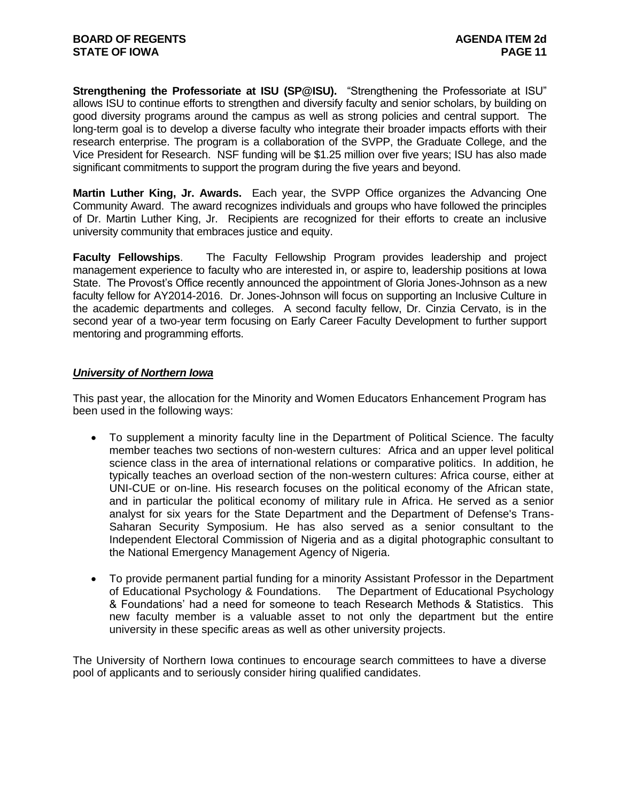**Strengthening the Professoriate at ISU (SP@ISU).** "Strengthening the Professoriate at ISU" allows ISU to continue efforts to strengthen and diversify faculty and senior scholars, by building on good diversity programs around the campus as well as strong policies and central support. The long-term goal is to develop a diverse faculty who integrate their broader impacts efforts with their research enterprise. The program is a collaboration of the SVPP, the Graduate College, and the Vice President for Research. NSF funding will be \$1.25 million over five years; ISU has also made significant commitments to support the program during the five years and beyond.

**Martin Luther King, Jr. Awards.** Each year, the SVPP Office organizes the Advancing One Community Award. The award recognizes individuals and groups who have followed the principles of Dr. Martin Luther King, Jr. Recipients are recognized for their efforts to create an inclusive university community that embraces justice and equity.

**Faculty Fellowships**. The Faculty Fellowship Program provides leadership and project management experience to faculty who are interested in, or aspire to, leadership positions at Iowa State. The Provost's Office recently announced the appointment of Gloria Jones-Johnson as a new faculty fellow for AY2014-2016. Dr. Jones-Johnson will focus on supporting an Inclusive Culture in the academic departments and colleges. A second faculty fellow, Dr. Cinzia Cervato, is in the second year of a two-year term focusing on Early Career Faculty Development to further support mentoring and programming efforts.

#### *University of Northern Iowa*

This past year, the allocation for the Minority and Women Educators Enhancement Program has been used in the following ways:

- To supplement a minority faculty line in the Department of Political Science. The faculty member teaches two sections of non-western cultures: Africa and an upper level political science class in the area of international relations or comparative politics. In addition, he typically teaches an overload section of the non-western cultures: Africa course, either at UNI-CUE or on-line. His research focuses on the political economy of the African state, and in particular the political economy of military rule in Africa. He served as a senior analyst for six years for the State Department and the Department of Defense's Trans-Saharan Security Symposium. He has also served as a senior consultant to the Independent Electoral Commission of Nigeria and as a digital photographic consultant to the National Emergency Management Agency of Nigeria.
- To provide permanent partial funding for a minority Assistant Professor in the Department of Educational Psychology & Foundations. The Department of Educational Psychology & Foundations' had a need for someone to teach Research Methods & Statistics. This new faculty member is a valuable asset to not only the department but the entire university in these specific areas as well as other university projects.

The University of Northern Iowa continues to encourage search committees to have a diverse pool of applicants and to seriously consider hiring qualified candidates.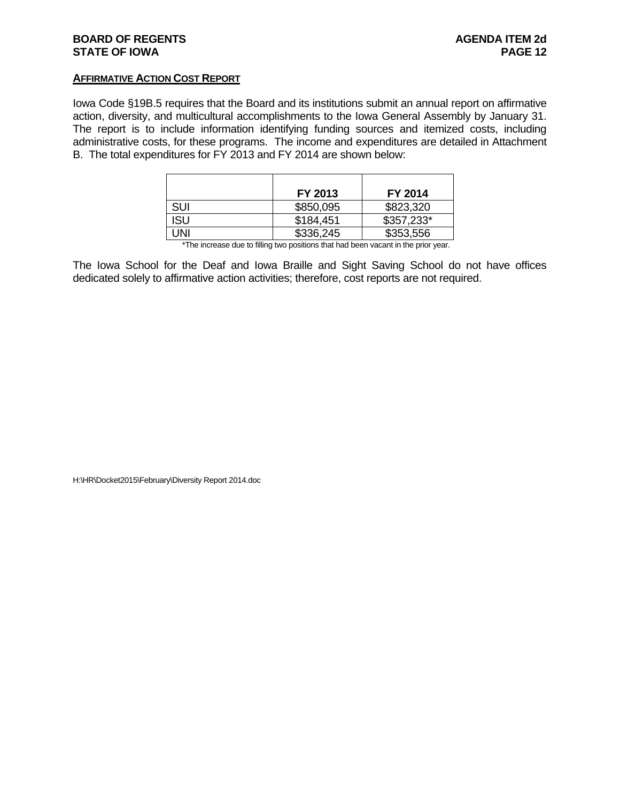#### **AFFIRMATIVE ACTION COST REPORT**

Iowa Code §19B.5 requires that the Board and its institutions submit an annual report on affirmative action, diversity, and multicultural accomplishments to the Iowa General Assembly by January 31. The report is to include information identifying funding sources and itemized costs, including administrative costs, for these programs. The income and expenditures are detailed in Attachment B. The total expenditures for FY 2013 and FY 2014 are shown below:

|     | FY 2013   | FY 2014    |
|-----|-----------|------------|
| SUI | \$850,095 | \$823,320  |
| ISU | \$184,451 | \$357,233* |
| UNI | \$336,245 | \$353,556  |

\*The increase due to filling two positions that had been vacant in the prior year.

The Iowa School for the Deaf and Iowa Braille and Sight Saving School do not have offices dedicated solely to affirmative action activities; therefore, cost reports are not required.

H:\HR\Docket2015\February\Diversity Report 2014.doc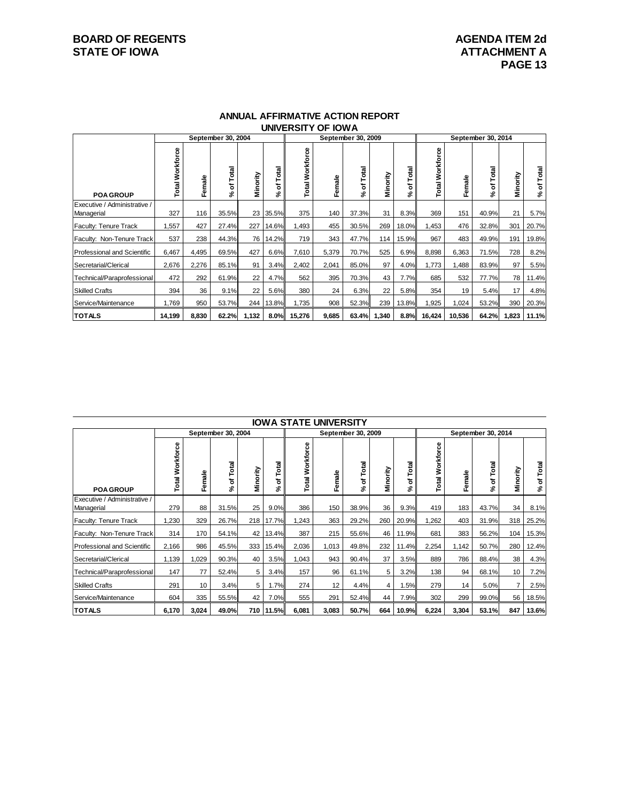# **BOARD OF REGENTS**<br> **BOARD OF REGENTS**<br> **BOARD OF IOWA**<br> **ATTACHMENT A**

|                                            |                        |        | September 30, 2004 |          |                  |                    |        | September 30, 2009 |          | September 30, 2014 |                    |        |                |          |                 |
|--------------------------------------------|------------------------|--------|--------------------|----------|------------------|--------------------|--------|--------------------|----------|--------------------|--------------------|--------|----------------|----------|-----------------|
| <b>POAGROUP</b>                            | <b>Total Workforce</b> | Female | Total<br>ቴ<br>వి   | Minority | Total<br>৳<br>వి | Workforce<br>Total | Female | Total<br>৳<br>వి   | Minority | Total<br>፞፝፝፝፝፝፝፝  | Workforce<br>Total | Female | of Total<br>వి | Minority | Total<br>৳<br>چ |
| Executive / Administrative /<br>Managerial | 327                    | 116    | 35.5%              |          | 23 35.5%         | 375                | 140    | 37.3%              | 31       | 8.3%               | 369                | 151    | 40.9%          | 21       | 5.7%            |
| <b>Faculty: Tenure Track</b>               | 1,557                  | 427    | 27.4%              | 227      | 14.6%            | 1,493              | 455    | 30.5%              | 269      | 18.0%              | 1,453              | 476    | 32.8%          | 301      | 20.7%           |
| Faculty: Non-Tenure Track                  | 537                    | 238    | 44.3%              | 76       | 14.2%            | 719                | 343    | 47.7%              | 114      | 15.9%              | 967                | 483    | 49.9%          | 191      | 19.8%           |
| Professional and Scientific                | 6,467                  | 4,495  | 69.5%              | 427      | 6.6%             | 7,610              | 5,379  | 70.7%              | 525      | 6.9%               | 8,898              | 6,363  | 71.5%          | 728      | 8.2%            |
| Secretarial/Clerical                       | 2,676                  | 2,276  | 85.1%              | 91       | 3.4%             | 2,402              | 2,041  | 85.0%              | 97       | 4.0%               | 1.773              | .488   | 83.9%          | 97       | 5.5%            |
| Technical/Paraprofessional                 | 472                    | 292    | 61.9%              | 22       | 4.7%             | 562                | 395    | 70.3%              | 43       | 7.7%               | 685                | 532    | 77.7%          | 78       | 11.4%           |
| <b>Skilled Crafts</b>                      | 394                    | 36     | 9.1%               | 22       | 5.6%             | 380                | 24     | 6.3%               | 22       | 5.8%               | 354                | 19     | 5.4%           | 17       | 4.8%            |
| Service/Maintenance                        | 1,769                  | 950    | 53.7%              | 244 l    | 13.8%            | 1,735              | 908    | 52.3%              | 239      | 13.8%              | 1,925              | 1,024  | 53.2%          | 390      | 20.3%           |
| <b>TOTALS</b>                              | 14,199                 | 8,830  | 62.2%              | 1,132    | 8.0%             | 15,276             | 9,685  | 63.4%              | 1,340    | 8.8%               | 16,424             | 10,536 | 64.2%          | 1,823    | 11.1%           |

#### **UNIVERSITY OF IOWA ANNUAL AFFIRMATIVE ACTION REPORT**

| <b>IOWA STATE UNIVERSITY</b>               |                        |        |                    |          |                      |                        |        |                    |          |                  |                        |        |               |          |            |
|--------------------------------------------|------------------------|--------|--------------------|----------|----------------------|------------------------|--------|--------------------|----------|------------------|------------------------|--------|---------------|----------|------------|
|                                            |                        |        | September 30, 2004 |          |                      |                        |        | September 30, 2009 |          |                  | September 30, 2014     |        |               |          |            |
| <b>POAGROUP</b>                            | <b>Total Workforce</b> | Female | Total<br>৳<br>چ    | Minority | otal<br>⊢<br>৳<br>వి | <b>Total Workforce</b> | Female | Total<br>٩<br>వి   | Minority | Total<br>ቴ<br>వ్ | <b>Total Workforce</b> | Female | of Total<br>چ | Minority | % of Total |
| Executive / Administrative /<br>Managerial | 279                    | 88     | 31.5%              | 25       | 9.0%                 | 386                    | 150    | 38.9%              | 36       | 9.3%             | 419                    | 183    | 43.7%         | 34       | 8.1%       |
| Faculty: Tenure Track                      | 1,230                  | 329    | 26.7%              |          | 218 17.7%            | 1,243                  | 363    | 29.2%              | 260      | 20.9%            | ,262                   | 403    | 31.9%         | 318      | 25.2%      |
| Faculty: Non-Tenure Track                  | 314                    | 170    | 54.1%              |          | 42 13.4%             | 387                    | 215    | 55.6%              | 46       | 11.9%            | 681                    | 383    | 56.2%         | 104      | 15.3%      |
| <b>Professional and Scientific</b>         | 2,166                  | 986    | 45.5%              | 333      | 15.4%                | 2,036                  | 1,013  | 49.8%              | 232      | 11.4%            | 2,254                  | 1,142  | 50.7%         | 280      | 12.4%      |
| Secretarial/Clerical                       | 1,139                  | 1,029  | 90.3%              | 40       | 3.5%                 | 1,043                  | 943    | 90.4%              | 37       | 3.5%             | 889                    | 786    | 88.4%         | 38       | 4.3%       |
| Technical/Paraprofessional                 | 147                    | 77     | 52.4%              | 5        | 3.4%                 | 157                    | 96     | 61.1%              | 5        | 3.2%             | 138                    | 94     | 68.1%         | 10       | 7.2%       |
| <b>Skilled Crafts</b>                      | 291                    | 10     | 3.4%               | 5        | 1.7%                 | 274                    | 12     | 4.4%               | 4        | 1.5%             | 279                    | 14     | 5.0%          |          | 2.5%       |
| Service/Maintenance                        | 604                    | 335    | 55.5%              | 42       | 7.0%                 | 555                    | 291    | 52.4%              | 44       | 7.9%             | 302                    | 299    | 99.0%         | 56 l     | 18.5%      |
| <b>TOTALS</b>                              | 6,170                  | 3,024  | 49.0%              |          | 710 11.5%            | 6,081                  | 3,083  | 50.7%              | 664      | 10.9%            | 6,224                  | 3,304  | 53.1%         | 847      | 13.6%      |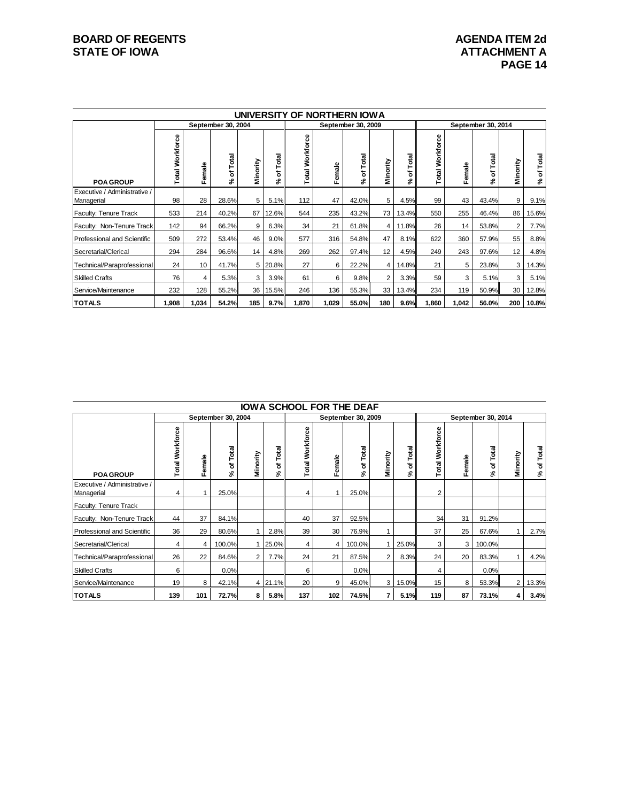# **BOARD OF REGENTS**<br> **BOARD OF REGENTS**<br> **BOARD OF IOWA**<br> **ATTACHMENT A**

| UNIVERSITY OF NORTHERN IOWA                |                 |        |                    |          |                  |                                 |        |                    |                 |            |                        |        |                 |                 |                 |
|--------------------------------------------|-----------------|--------|--------------------|----------|------------------|---------------------------------|--------|--------------------|-----------------|------------|------------------------|--------|-----------------|-----------------|-----------------|
|                                            |                 |        | September 30, 2004 |          |                  |                                 |        | September 30, 2009 |                 |            | September 30, 2014     |        |                 |                 |                 |
| <b>POAGROUP</b>                            | Total Workforce | Female | Total<br>৳<br>چ    | Minority | Total<br>৳<br>వ్ | Workforce<br>Total <sup>1</sup> | Female | Total<br>৳<br>వి   | Minority        | Total<br>৳ | <b>Total Workforce</b> | Female | Total<br>৳<br>چ | Minority        | Total<br>৳<br>چ |
| Executive / Administrative /<br>Managerial | 98              | 28     | 28.6%              | 5        | 5.1%             | 112                             | 47     | 42.0%              | 5               | 4.5%       | 99                     | 43     | 43.4%           | 9               | 9.1%            |
| Faculty: Tenure Track                      | 533             | 214    | 40.2%              | 67       | 12.6%            | 544                             | 235    | 43.2%              | 73              | 13.4%      | 550                    | 255    | 46.4%           | 86              | 15.6%           |
| Faculty: Non-Tenure Track                  | 142             | 94     | 66.2%              | 9        | 6.3%             | 34                              | 21     | 61.8%              | 4               | 11.8%      | 26                     | 14     | 53.8%           | $\overline{2}$  | 7.7%            |
| Professional and Scientific                | 509             | 272    | 53.4%              | 46       | 9.0%             | 577                             | 316    | 54.8%              | 47              | 8.1%       | 622                    | 360    | 57.9%           | 55              | 8.8%            |
| Secretarial/Clerical                       | 294             | 284    | 96.6%              | 14       | 4.8%             | 269                             | 262    | 97.4%              | 12 <sup>2</sup> | 4.5%       | 249                    | 243    | 97.6%           | 12              | 4.8%            |
| Technical/Paraprofessional                 | 24              | 10     | 41.7%              |          | 5 20.8%          | 27                              | 6      | 22.2%              | 4               | 14.8%      | 21                     | 5      | 23.8%           | 3 <sup>1</sup>  | 14.3%           |
| <b>Skilled Crafts</b>                      | 76              | 4      | 5.3%               | 3        | 3.9%             | 61                              | 6      | 9.8%               | 2               | 3.3%       | 59                     | 3      | 5.1%            | 3               | 5.1%            |
| Service/Maintenance                        | 232             | 128    | 55.2%              |          | 36 15.5%         | 246                             | 136    | 55.3%              | 33 <sup>1</sup> | 13.4%      | 234                    | 119    | 50.9%           | 30 <sub>1</sub> | 12.8%           |
| <b>TOTALS</b>                              | 1,908           | 1,034  | 54.2%              | 185      | 9.7%             | 1,870                           | 1,029  | 55.0%              | 180             | 9.6%       | 1,860                  | 1,042  | 56.0%           | 200             | 10.8%           |

|                                            |                        |        |                    |                |                  |                                 | <b>IOWA SCHOOL FOR THE DEAF</b> |                    |                |                  |                        |        |               |                |               |
|--------------------------------------------|------------------------|--------|--------------------|----------------|------------------|---------------------------------|---------------------------------|--------------------|----------------|------------------|------------------------|--------|---------------|----------------|---------------|
|                                            |                        |        | September 30, 2004 |                |                  |                                 | September 30, 2009              | September 30, 2014 |                |                  |                        |        |               |                |               |
| <b>POAGROUP</b>                            | <b>Total Workforce</b> | Female | Total<br>৳<br>వి   | Minority       | Total<br>৳<br>వి | Workforce<br>Total <sup>1</sup> | Female                          | Total<br>৳<br>వ్   | Minority       | Total<br>ኄ<br>వి | <b>Total Workforce</b> | Female | of Total<br>چ | Minority       | of Total<br>چ |
| Executive / Administrative /<br>Managerial | 4                      |        | 25.0%              |                |                  | 4                               |                                 | 25.0%              |                |                  | 2                      |        |               |                |               |
| Faculty: Tenure Track                      |                        |        |                    |                |                  |                                 |                                 |                    |                |                  |                        |        |               |                |               |
| Faculty: Non-Tenure Track                  | 44                     | 37     | 84.1%              |                |                  | 40                              | 37                              | 92.5%              |                |                  | 34                     | 31     | 91.2%         |                |               |
| <b>Professional and Scientific</b>         | 36                     | 29     | 80.6%              |                | 2.8%             | 39                              | 30                              | 76.9%              |                |                  | 37                     | 25     | 67.6%         |                | 2.7%          |
| Secretarial/Clerical                       | 4                      | 4      | 100.0%             |                | 25.0%            | 4                               | 4                               | 100.0%             | 1              | 25.0%            | 3                      | 3      | 100.0%        |                |               |
| Technical/Paraprofessional                 | 26                     | 22     | 84.6%              | $\overline{2}$ | 7.7%             | 24                              | 21                              | 87.5%              | $\overline{2}$ | 8.3%             | 24                     | 20     | 83.3%         |                | 4.2%          |
| <b>Skilled Crafts</b>                      | 6                      |        | 0.0%               |                |                  | 6                               |                                 | 0.0%               |                |                  | 4                      |        | 0.0%          |                |               |
| Service/Maintenance                        | 19                     | 8      | 42.1%              |                | 4 21.1%          | 20                              | 9                               | 45.0%              | 3              | 15.0%            | 15                     | 8      | 53.3%         | 2 <sup>1</sup> | 13.3%         |
| <b>TOTALS</b>                              | 139                    | 101    | 72.7%              | 8              | 5.8%             | 137                             | 102                             | 74.5%              | 7              | 5.1%             | 119                    | 87     | 73.1%         | 4              | 3.4%          |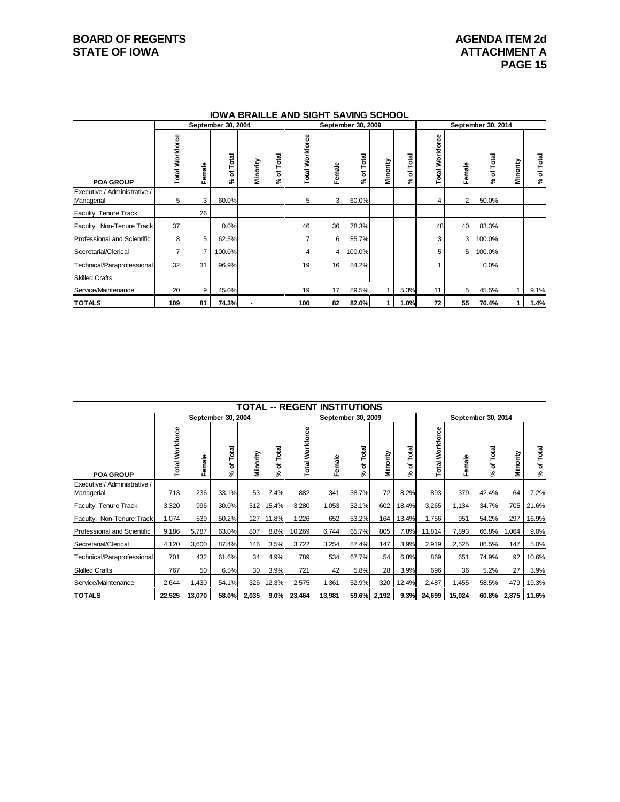# **BOARD OF REGENTS**<br> **BOARD OF REGENTS**<br> **BOARD OF IOWA**<br> **ATTACHMENT A**

| <b>IOWA BRAILLE AND SIGHT SAVING SCHOOL</b> |                        |        |                    |                |                  |                        |        |                    |                      |            |                        |                |               |          |                          |
|---------------------------------------------|------------------------|--------|--------------------|----------------|------------------|------------------------|--------|--------------------|----------------------|------------|------------------------|----------------|---------------|----------|--------------------------|
|                                             |                        |        | September 30, 2004 |                |                  |                        |        | September 30, 2009 |                      |            | September 30, 2014     |                |               |          |                          |
| <b>POAGROUP</b>                             | <b>Total Workforce</b> | Female | Total<br>৳<br>چ    | Minority       | Total<br>৳<br>వ్ | <b>Total Workforce</b> | Female | Total<br>৳<br>వి   | Minority             | Total<br>৳ | <b>Total Workforce</b> | Female         | of Total<br>چ | Minority | Total<br>$\epsilon$<br>چ |
| Executive / Administrative /<br>Managerial  | 5                      | 3      | 60.0%              |                |                  | 5                      | 3      | 60.0%              |                      |            | 4                      | $\overline{2}$ | 50.0%         |          |                          |
| Faculty: Tenure Track                       |                        | 26     |                    |                |                  |                        |        |                    |                      |            |                        |                |               |          |                          |
| Faculty: Non-Tenure Track                   | 37                     |        | 0.0%               |                |                  | 46                     | 36     | 78.3%              |                      |            | 48                     | 40             | 83.3%         |          |                          |
| Professional and Scientific                 | 8                      | 5      | 62.5%              |                |                  | $\overline{7}$         | 6      | 85.7%              |                      |            | 3                      | 3              | 100.0%        |          |                          |
| Secretarial/Clerical                        | $\overline{7}$         |        | 100.0%             |                |                  | 4                      | 4      | 100.0%             |                      |            | 5                      | 5 <sup>1</sup> | 100.0%        |          |                          |
| Technical/Paraprofessional                  | 32                     | 31     | 96.9%              |                |                  | 19                     | 16     | 84.2%              |                      |            |                        |                | 0.0%          |          |                          |
| <b>Skilled Crafts</b>                       |                        |        |                    |                |                  |                        |        |                    |                      |            |                        |                |               |          |                          |
| Service/Maintenance                         | 20                     | 9      | 45.0%              |                |                  | 19                     | 17     | 89.5%              | $\blacktriangleleft$ | 5.3%       | 11                     | 5              | 45.5%         |          | 9.1%                     |
| <b>TOTALS</b>                               | 109                    | 81     | 74.3%              | $\blacksquare$ |                  | 100                    | 82     | 82.0%              |                      | 1.0%       | 72                     | 55             | 76.4%         |          | 1.4%                     |

| <b>TOTAL -- REGENT INSTITUTIONS</b>        |                        |                                          |                  |          |                            |                                 |        |                  |             |            |                    |        |                |             |               |  |
|--------------------------------------------|------------------------|------------------------------------------|------------------|----------|----------------------------|---------------------------------|--------|------------------|-------------|------------|--------------------|--------|----------------|-------------|---------------|--|
|                                            |                        | September 30, 2004<br>September 30, 2009 |                  |          |                            |                                 |        |                  |             |            | September 30, 2014 |        |                |             |               |  |
| <b>POAGROUP</b>                            | <b>Total Workforce</b> | Female                                   | Total<br>৳<br>వి | Minority | <b>Rai</b><br>۴<br>৳<br>వి | Workforce<br>Total <sup>1</sup> | Female | Total<br>৳<br>వ్ | Minority    | Total<br>ਠ | Total Workforce    | Female | of Total<br>వ్ | Minority    | Total<br>% of |  |
| Executive / Administrative /<br>Managerial | 713                    | 236                                      | 33.1%            | 53       | 7.4%                       | 882                             | 341    | 38.7%            | 72          | 8.2%       | 893                | 379    | 42.4%          | 64          | 7.2%          |  |
| Faculty: Tenure Track                      | 3,320                  | 996                                      | 30.0%            |          | 512 15.4%                  | 3,280                           | 1,053  | 32.1%            | 602         | 18.4%      | 3,265              | 1,134  | 34.7%          | 705         | 21.6%         |  |
| Faculty: Non-Tenure Track                  | 1,074                  | 539                                      | 50.2%            | 127      | 11.8%                      | ,226                            | 652    | 53.2%            | 164         | 13.4%      | 1.756              | 951    | 54.2%          | 297         | 16.9%         |  |
| Professional and Scientific                | 9,186                  | 5,787                                    | 63.0%            | 807      | 8.8%                       | 10,269                          | 6,744  | 65.7%            | 805         | 7.8%       | 11,814             | 7,893  | 66.8%          | 1,064       | 9.0%          |  |
| Secretarial/Clerical                       | 4,120                  | 3,600                                    | 87.4%            | 146      | 3.5%                       | 3,722                           | 3,254  | 87.4%            | 147         | 3.9%       | 2,919              | 2,525  | 86.5%          | 147         | 5.0%          |  |
| Technical/Paraprofessional                 | 701                    | 432                                      | 61.6%            | 34       | 4.9%                       | 789                             | 534    | 67.7%            | 54          | 6.8%       | 869                | 651    | 74.9%          | 92          | 10.6%         |  |
| <b>Skilled Crafts</b>                      | 767                    | 50                                       | 6.5%             | 30       | 3.9%                       | 721                             | 42     | 5.8%             | 28          | 3.9%       | 696                | 36     | 5.2%           | 27          | 3.9%          |  |
| Service/Maintenance                        | 2,644                  | 1,430                                    | 54.1%            |          | 326 12.3%                  | 2,575                           | 1,361  | 52.9%            | 320         | 12.4%      | 2,487              | 1,455  | 58.5%          | 479         | 19.3%         |  |
| <b>TOTALS</b>                              | 22,525                 | 13,070                                   | 58.0%            | 2,035    | $9.0\%$                    | 23,464                          | 13,981 |                  | 59.6% 2,192 | 9.3%       | 24,699             | 15,024 |                | 60.8% 2,875 | 11.6%         |  |